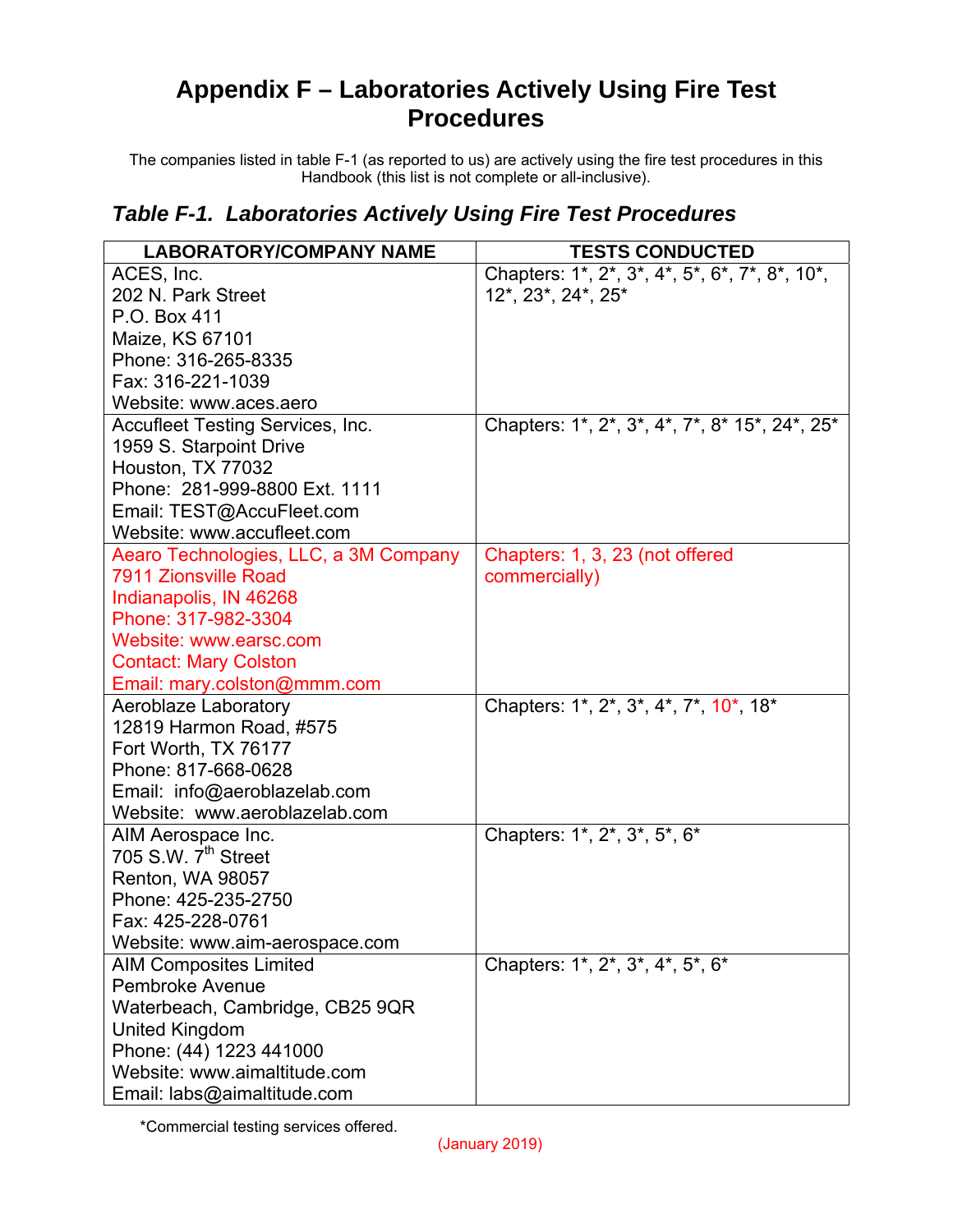## **Appendix F – Laboratories Actively Using Fire Test Procedures**

The companies listed in table F-1 (as reported to us) are actively using the fire test procedures in this Handbook (this list is not complete or all-inclusive).

## *Table F-1. Laboratories Actively Using Fire Test Procedures*

| <b>LABORATORY/COMPANY NAME</b>        | <b>TESTS CONDUCTED</b>                         |
|---------------------------------------|------------------------------------------------|
| ACES, Inc.                            | Chapters: 1*, 2*, 3*, 4*, 5*, 6*, 7*, 8*, 10*, |
| 202 N. Park Street                    | 12*, 23*, 24*, 25*                             |
| P.O. Box 411                          |                                                |
| Maize, KS 67101                       |                                                |
| Phone: 316-265-8335                   |                                                |
| Fax: 316-221-1039                     |                                                |
| Website: www.aces.aero                |                                                |
| Accufleet Testing Services, Inc.      | Chapters: 1*, 2*, 3*, 4*, 7*, 8* 15*, 24*, 25* |
| 1959 S. Starpoint Drive               |                                                |
| Houston, TX 77032                     |                                                |
| Phone: 281-999-8800 Ext. 1111         |                                                |
| Email: TEST@AccuFleet.com             |                                                |
| Website: www.accufleet.com            |                                                |
| Aearo Technologies, LLC, a 3M Company | Chapters: 1, 3, 23 (not offered                |
| 7911 Zionsville Road                  | commercially)                                  |
| Indianapolis, IN 46268                |                                                |
| Phone: 317-982-3304                   |                                                |
| Website: www.earsc.com                |                                                |
| <b>Contact: Mary Colston</b>          |                                                |
| Email: mary.colston@mmm.com           |                                                |
| <b>Aeroblaze Laboratory</b>           | Chapters: 1*, 2*, 3*, 4*, 7*, 10*, 18*         |
| 12819 Harmon Road, #575               |                                                |
| Fort Worth, TX 76177                  |                                                |
| Phone: 817-668-0628                   |                                                |
| Email: info@aeroblazelab.com          |                                                |
| Website: www.aeroblazelab.com         |                                                |
| AIM Aerospace Inc.                    | Chapters: 1*, 2*, 3*, 5*, 6*                   |
| 705 S.W. 7 <sup>th</sup> Street       |                                                |
| Renton, WA 98057                      |                                                |
| Phone: 425-235-2750                   |                                                |
| Fax: 425-228-0761                     |                                                |
| Website: www.aim-aerospace.com        |                                                |
| <b>AIM Composites Limited</b>         | Chapters: 1*, 2*, 3*, 4*, 5*, 6*               |
| <b>Pembroke Avenue</b>                |                                                |
| Waterbeach, Cambridge, CB25 9QR       |                                                |
| United Kingdom                        |                                                |
| Phone: (44) 1223 441000               |                                                |
| Website: www.aimaltitude.com          |                                                |
| Email: labs@aimaltitude.com           |                                                |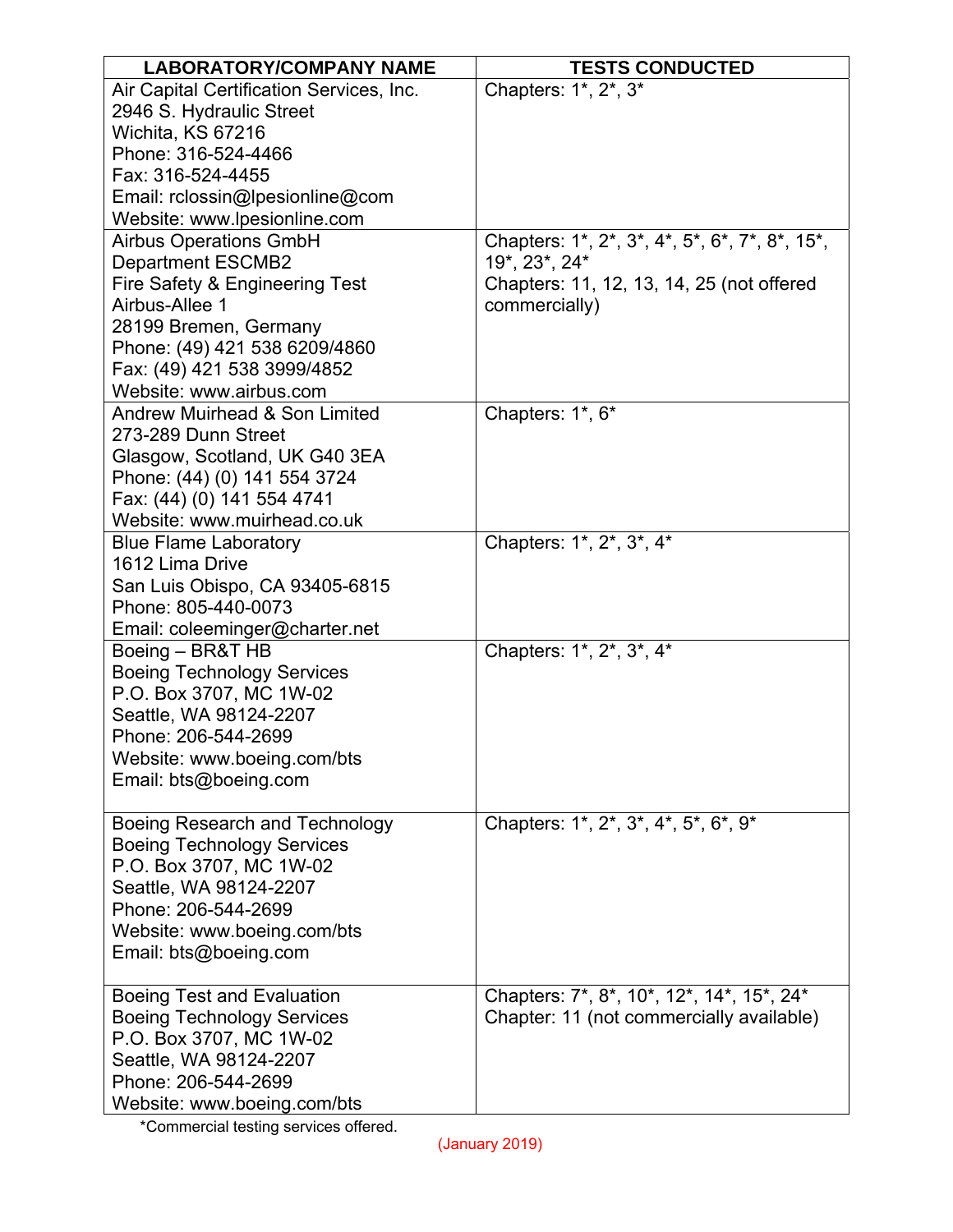| <b>LABORATORY/COMPANY NAME</b>           | <b>TESTS CONDUCTED</b>                         |
|------------------------------------------|------------------------------------------------|
| Air Capital Certification Services, Inc. | Chapters: 1*, 2*, 3*                           |
| 2946 S. Hydraulic Street                 |                                                |
| Wichita, KS 67216                        |                                                |
| Phone: 316-524-4466                      |                                                |
| Fax: 316-524-4455                        |                                                |
| Email: rclossin@lpesionline@com          |                                                |
| Website: www.lpesionline.com             |                                                |
| <b>Airbus Operations GmbH</b>            | Chapters: 1*, 2*, 3*, 4*, 5*, 6*, 7*, 8*, 15*, |
| <b>Department ESCMB2</b>                 | 19*, 23*, 24*                                  |
| Fire Safety & Engineering Test           | Chapters: 11, 12, 13, 14, 25 (not offered      |
| Airbus-Allee 1                           | commercially)                                  |
| 28199 Bremen, Germany                    |                                                |
| Phone: (49) 421 538 6209/4860            |                                                |
| Fax: (49) 421 538 3999/4852              |                                                |
| Website: www.airbus.com                  |                                                |
| <b>Andrew Muirhead &amp; Son Limited</b> | Chapters: 1*, 6*                               |
| 273-289 Dunn Street                      |                                                |
| Glasgow, Scotland, UK G40 3EA            |                                                |
| Phone: (44) (0) 141 554 3724             |                                                |
| Fax: (44) (0) 141 554 4741               |                                                |
| Website: www.muirhead.co.uk              |                                                |
| <b>Blue Flame Laboratory</b>             | Chapters: 1*, 2*, 3*, 4*                       |
| 1612 Lima Drive                          |                                                |
| San Luis Obispo, CA 93405-6815           |                                                |
| Phone: 805-440-0073                      |                                                |
| Email: coleeminger@charter.net           |                                                |
| Boeing - BR&T HB                         | Chapters: 1*, 2*, 3*, 4*                       |
| <b>Boeing Technology Services</b>        |                                                |
| P.O. Box 3707, MC 1W-02                  |                                                |
| Seattle, WA 98124-2207                   |                                                |
| Phone: 206-544-2699                      |                                                |
| Website: www.boeing.com/bts              |                                                |
| Email: bts@boeing.com                    |                                                |
|                                          |                                                |
| Boeing Research and Technology           | Chapters: 1*, 2*, 3*, 4*, 5*, 6*, 9*           |
| <b>Boeing Technology Services</b>        |                                                |
| P.O. Box 3707, MC 1W-02                  |                                                |
| Seattle, WA 98124-2207                   |                                                |
| Phone: 206-544-2699                      |                                                |
| Website: www.boeing.com/bts              |                                                |
| Email: bts@boeing.com                    |                                                |
|                                          |                                                |
| Boeing Test and Evaluation               | Chapters: 7*, 8*, 10*, 12*, 14*, 15*, 24*      |
| <b>Boeing Technology Services</b>        | Chapter: 11 (not commercially available)       |
| P.O. Box 3707, MC 1W-02                  |                                                |
| Seattle, WA 98124-2207                   |                                                |
| Phone: 206-544-2699                      |                                                |
| Website: www.boeing.com/bts              |                                                |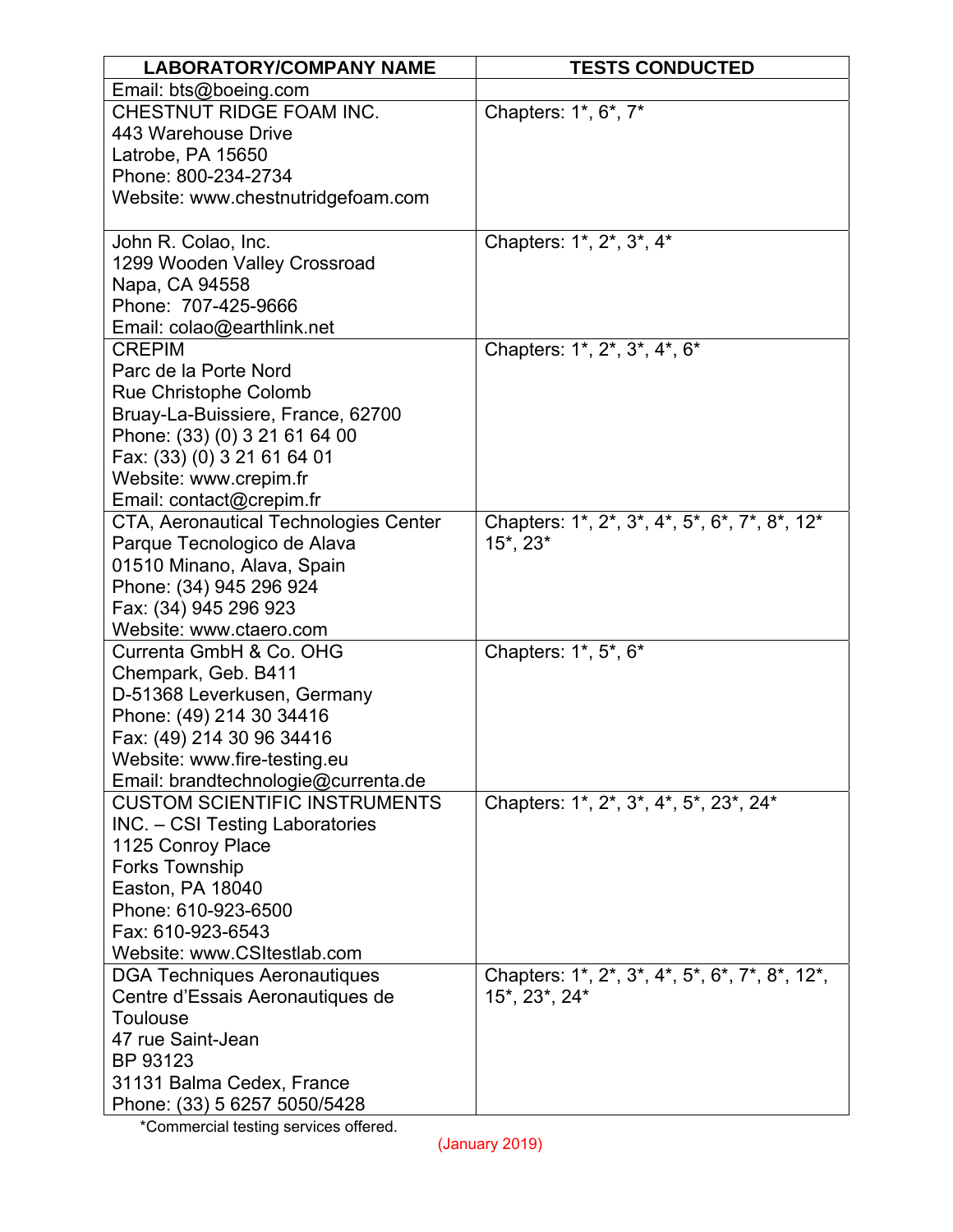| <b>LABORATORY/COMPANY NAME</b>        | <b>TESTS CONDUCTED</b>                         |
|---------------------------------------|------------------------------------------------|
| Email: bts@boeing.com                 |                                                |
| CHESTNUT RIDGE FOAM INC.              | Chapters: 1*, 6*, 7*                           |
| 443 Warehouse Drive                   |                                                |
| Latrobe, PA 15650                     |                                                |
| Phone: 800-234-2734                   |                                                |
| Website: www.chestnutridgefoam.com    |                                                |
|                                       |                                                |
| John R. Colao, Inc.                   | Chapters: 1*, 2*, 3*, 4*                       |
| 1299 Wooden Valley Crossroad          |                                                |
| Napa, CA 94558                        |                                                |
| Phone: 707-425-9666                   |                                                |
| Email: colao@earthlink.net            |                                                |
| <b>CREPIM</b>                         | Chapters: 1*, 2*, 3*, 4*, 6*                   |
| Parc de la Porte Nord                 |                                                |
| Rue Christophe Colomb                 |                                                |
| Bruay-La-Buissiere, France, 62700     |                                                |
| Phone: (33) (0) 3 21 61 64 00         |                                                |
| Fax: (33) (0) 3 21 61 64 01           |                                                |
| Website: www.crepim.fr                |                                                |
| Email: contact@crepim.fr              |                                                |
| CTA, Aeronautical Technologies Center | Chapters: 1*, 2*, 3*, 4*, 5*, 6*, 7*, 8*, 12*  |
| Parque Tecnologico de Alava           | 15*, 23*                                       |
| 01510 Minano, Alava, Spain            |                                                |
| Phone: (34) 945 296 924               |                                                |
| Fax: (34) 945 296 923                 |                                                |
| Website: www.ctaero.com               |                                                |
| Currenta GmbH & Co. OHG               | Chapters: 1*, 5*, 6*                           |
| Chempark, Geb. B411                   |                                                |
| D-51368 Leverkusen, Germany           |                                                |
| Phone: (49) 214 30 34416              |                                                |
| Fax: (49) 214 30 96 34416             |                                                |
| Website: www.fire-testing.eu          |                                                |
| Email: brandtechnologie@currenta.de   |                                                |
| <b>CUSTOM SCIENTIFIC INSTRUMENTS</b>  | Chapters: 1*, 2*, 3*, 4*, 5*, 23*, 24*         |
| INC. - CSI Testing Laboratories       |                                                |
| 1125 Conroy Place                     |                                                |
| <b>Forks Township</b>                 |                                                |
| Easton, PA 18040                      |                                                |
| Phone: 610-923-6500                   |                                                |
| Fax: 610-923-6543                     |                                                |
| Website: www.CSItestlab.com           |                                                |
| <b>DGA Techniques Aeronautiques</b>   | Chapters: 1*, 2*, 3*, 4*, 5*, 6*, 7*, 8*, 12*, |
| Centre d'Essais Aeronautiques de      | 15*, 23*, 24*                                  |
| <b>Toulouse</b>                       |                                                |
| 47 rue Saint-Jean                     |                                                |
| BP 93123                              |                                                |
| 31131 Balma Cedex, France             |                                                |
| Phone: (33) 5 6257 5050/5428          |                                                |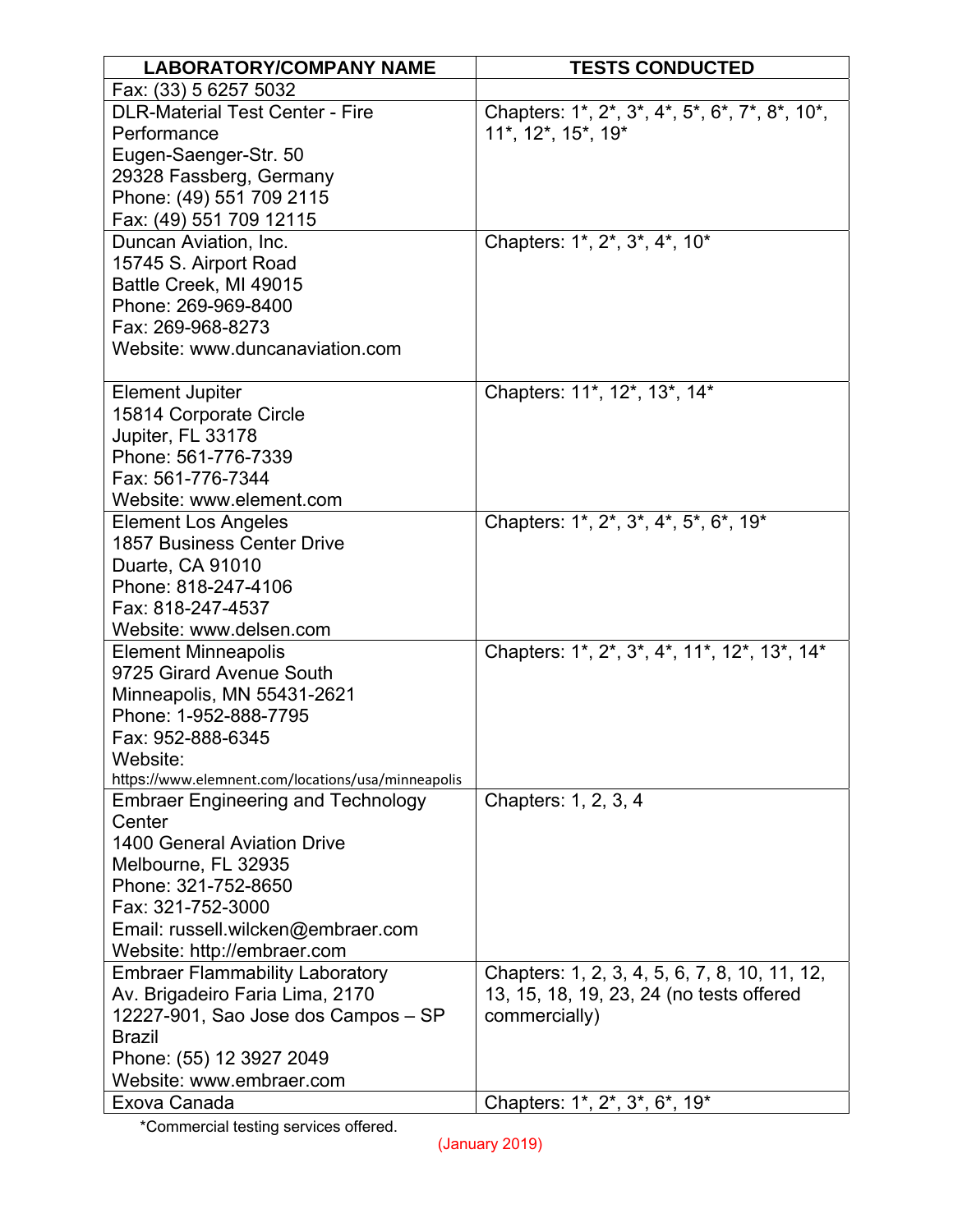| <b>LABORATORY/COMPANY NAME</b>                      | <b>TESTS CONDUCTED</b>                         |
|-----------------------------------------------------|------------------------------------------------|
| Fax: (33) 5 6257 5032                               |                                                |
| <b>DLR-Material Test Center - Fire</b>              | Chapters: 1*, 2*, 3*, 4*, 5*, 6*, 7*, 8*, 10*, |
| Performance                                         | 11*, 12*, 15*, 19*                             |
| Eugen-Saenger-Str. 50                               |                                                |
| 29328 Fassberg, Germany                             |                                                |
| Phone: (49) 551 709 2115                            |                                                |
| Fax: (49) 551 709 12115                             |                                                |
| Duncan Aviation, Inc.                               | Chapters: 1*, 2*, 3*, 4*, 10*                  |
| 15745 S. Airport Road                               |                                                |
| Battle Creek, MI 49015                              |                                                |
| Phone: 269-969-8400                                 |                                                |
| Fax: 269-968-8273                                   |                                                |
| Website: www.duncanaviation.com                     |                                                |
|                                                     |                                                |
| <b>Element Jupiter</b>                              | Chapters: 11*, 12*, 13*, 14*                   |
| 15814 Corporate Circle                              |                                                |
| Jupiter, FL 33178                                   |                                                |
| Phone: 561-776-7339                                 |                                                |
| Fax: 561-776-7344                                   |                                                |
| Website: www.element.com                            |                                                |
| <b>Element Los Angeles</b>                          | Chapters: 1*, 2*, 3*, 4*, 5*, 6*, 19*          |
| <b>1857 Business Center Drive</b>                   |                                                |
| Duarte, CA 91010                                    |                                                |
| Phone: 818-247-4106                                 |                                                |
| Fax: 818-247-4537                                   |                                                |
| Website: www.delsen.com                             |                                                |
| <b>Element Minneapolis</b>                          | Chapters: 1*, 2*, 3*, 4*, 11*, 12*, 13*, 14*   |
| 9725 Girard Avenue South                            |                                                |
| Minneapolis, MN 55431-2621<br>Phone: 1-952-888-7795 |                                                |
| Fax: 952-888-6345                                   |                                                |
| Website:                                            |                                                |
| https://www.elemnent.com/locations/usa/minneapolis  |                                                |
| <b>Embraer Engineering and Technology</b>           | Chapters: 1, 2, 3, 4                           |
| Center                                              |                                                |
| <b>1400 General Aviation Drive</b>                  |                                                |
| Melbourne, FL 32935                                 |                                                |
| Phone: 321-752-8650                                 |                                                |
| Fax: 321-752-3000                                   |                                                |
| Email: russell.wilcken@embraer.com                  |                                                |
| Website: http://embraer.com                         |                                                |
| <b>Embraer Flammability Laboratory</b>              | Chapters: 1, 2, 3, 4, 5, 6, 7, 8, 10, 11, 12,  |
| Av. Brigadeiro Faria Lima, 2170                     | 13, 15, 18, 19, 23, 24 (no tests offered       |
| 12227-901, Sao Jose dos Campos - SP                 | commercially)                                  |
| <b>Brazil</b>                                       |                                                |
| Phone: (55) 12 3927 2049                            |                                                |
| Website: www.embraer.com                            |                                                |
| Exova Canada                                        | Chapters: 1*, 2*, 3*, 6*, 19*                  |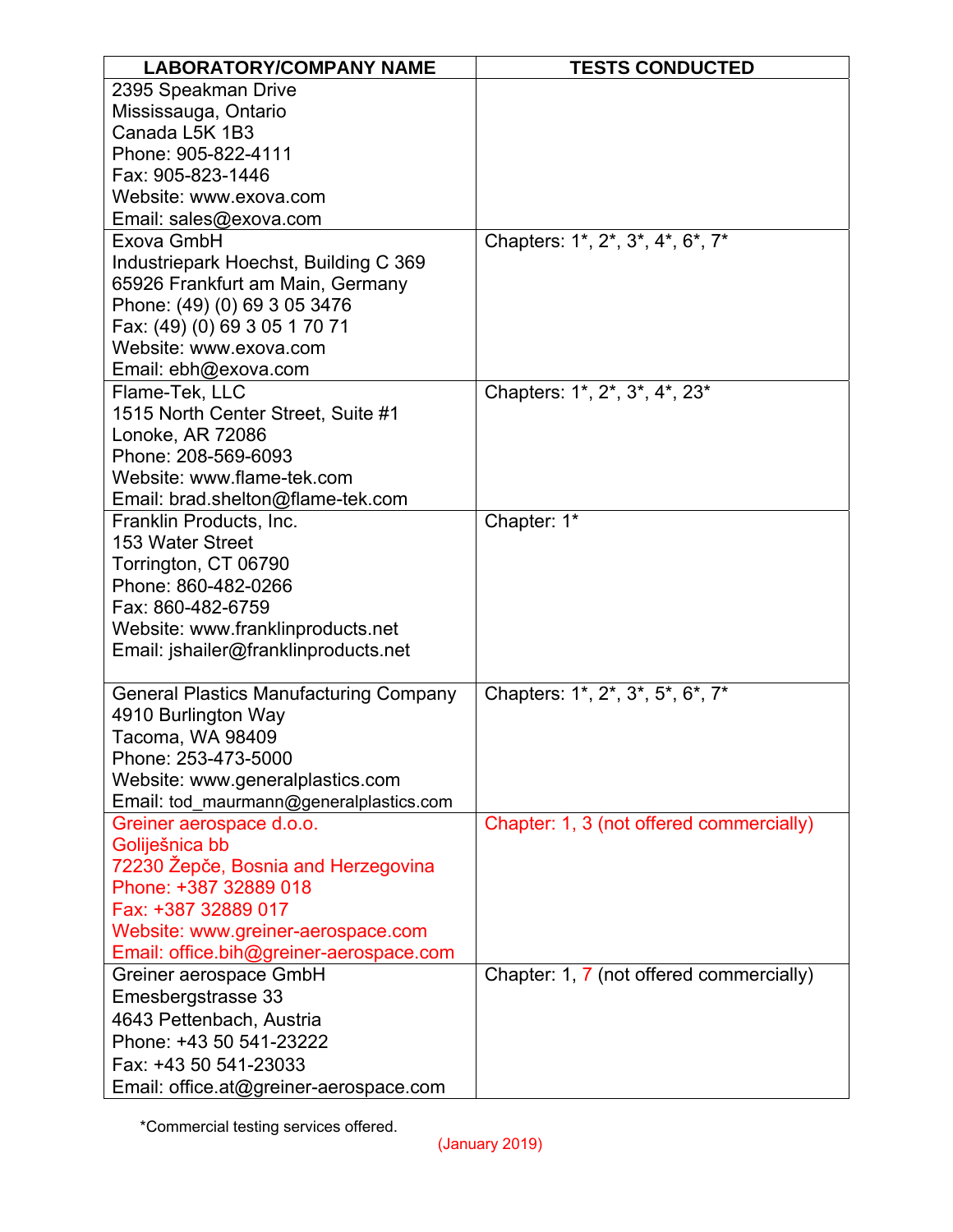| <b>LABORATORY/COMPANY NAME</b>                | <b>TESTS CONDUCTED</b>                   |
|-----------------------------------------------|------------------------------------------|
| 2395 Speakman Drive                           |                                          |
| Mississauga, Ontario                          |                                          |
| Canada L5K 1B3                                |                                          |
| Phone: 905-822-4111                           |                                          |
| Fax: 905-823-1446                             |                                          |
| Website: www.exova.com                        |                                          |
| Email: sales@exova.com                        |                                          |
| Exova GmbH                                    | Chapters: 1*, 2*, 3*, 4*, 6*, 7*         |
| Industriepark Hoechst, Building C 369         |                                          |
| 65926 Frankfurt am Main, Germany              |                                          |
| Phone: (49) (0) 69 3 05 3476                  |                                          |
| Fax: (49) (0) 69 3 05 1 70 71                 |                                          |
| Website: www.exova.com                        |                                          |
| Email: ebh@exova.com                          |                                          |
| Flame-Tek, LLC                                | Chapters: 1*, 2*, 3*, 4*, 23*            |
| 1515 North Center Street, Suite #1            |                                          |
| Lonoke, AR 72086                              |                                          |
| Phone: 208-569-6093                           |                                          |
| Website: www.flame-tek.com                    |                                          |
| Email: brad.shelton@flame-tek.com             |                                          |
| Franklin Products, Inc.                       | Chapter: 1*                              |
| 153 Water Street                              |                                          |
| Torrington, CT 06790                          |                                          |
| Phone: 860-482-0266                           |                                          |
| Fax: 860-482-6759                             |                                          |
| Website: www.franklinproducts.net             |                                          |
| Email: jshailer@franklinproducts.net          |                                          |
| <b>General Plastics Manufacturing Company</b> | Chapters: 1*, 2*, 3*, 5*, 6*, 7*         |
| 4910 Burlington Way                           |                                          |
| Tacoma, WA 98409                              |                                          |
| Phone: 253-473-5000                           |                                          |
| Website: www.generalplastics.com              |                                          |
| Email: tod_maurmann@generalplastics.com       |                                          |
| Greiner aerospace d.o.o.                      | Chapter: 1, 3 (not offered commercially) |
| Goliješnica bb                                |                                          |
| 72230 Žepče, Bosnia and Herzegovina           |                                          |
| Phone: +387 32889 018                         |                                          |
| Fax: +387 32889 017                           |                                          |
| Website: www.greiner-aerospace.com            |                                          |
| Email: office.bih@greiner-aerospace.com       |                                          |
| Greiner aerospace GmbH                        | Chapter: 1, 7 (not offered commercially) |
| Emesbergstrasse 33                            |                                          |
| 4643 Pettenbach, Austria                      |                                          |
| Phone: +43 50 541-23222                       |                                          |
| Fax: +43 50 541-23033                         |                                          |
| Email: office.at@greiner-aerospace.com        |                                          |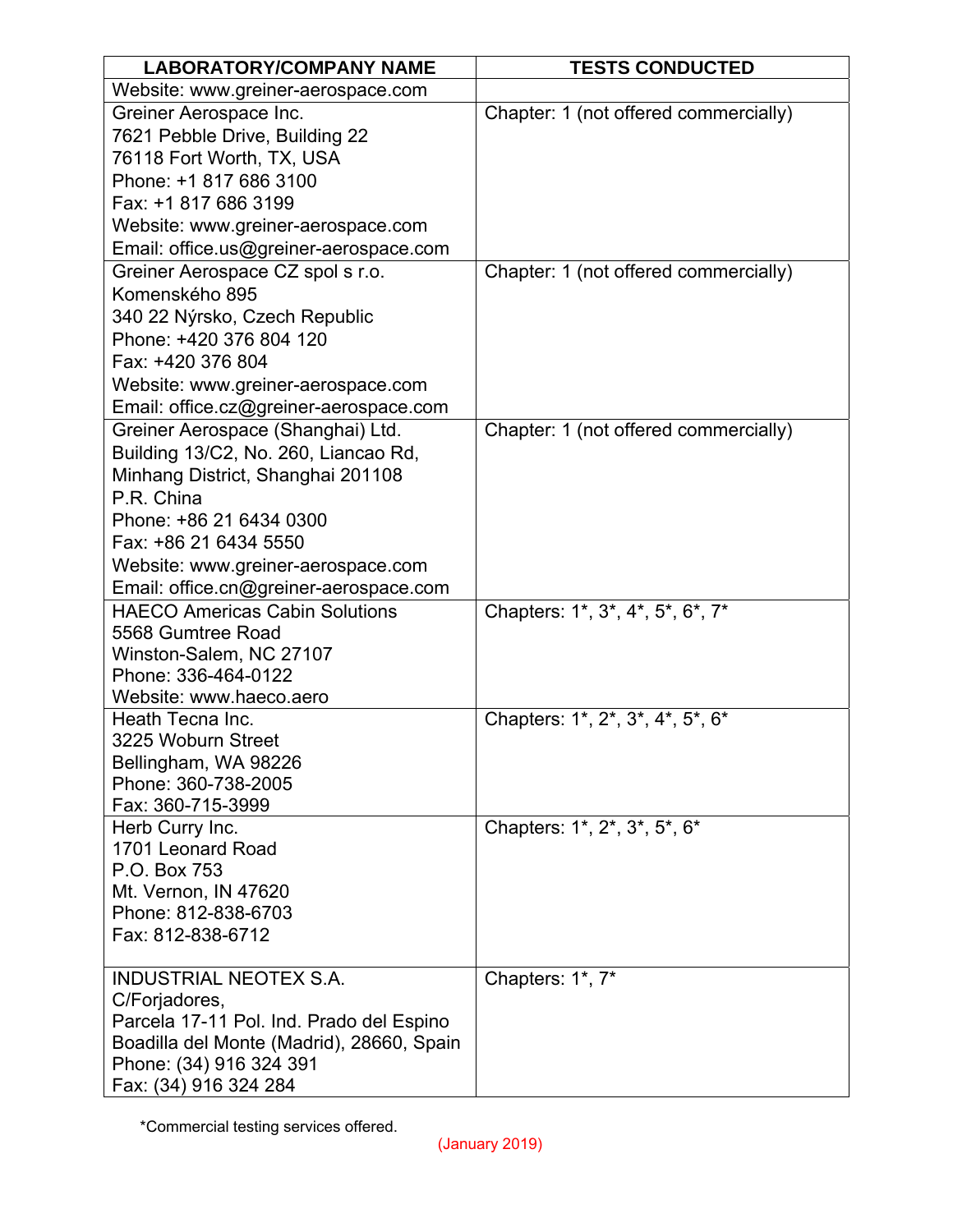| <b>LABORATORY/COMPANY NAME</b>            | <b>TESTS CONDUCTED</b>                |
|-------------------------------------------|---------------------------------------|
| Website: www.greiner-aerospace.com        |                                       |
| Greiner Aerospace Inc.                    | Chapter: 1 (not offered commercially) |
| 7621 Pebble Drive, Building 22            |                                       |
| 76118 Fort Worth, TX, USA                 |                                       |
| Phone: +1 817 686 3100                    |                                       |
| Fax: +1 817 686 3199                      |                                       |
| Website: www.greiner-aerospace.com        |                                       |
| Email: office.us@greiner-aerospace.com    |                                       |
| Greiner Aerospace CZ spol s r.o.          | Chapter: 1 (not offered commercially) |
| Komenského 895                            |                                       |
| 340 22 Nýrsko, Czech Republic             |                                       |
| Phone: +420 376 804 120                   |                                       |
| Fax: +420 376 804                         |                                       |
| Website: www.greiner-aerospace.com        |                                       |
| Email: office.cz@greiner-aerospace.com    |                                       |
| Greiner Aerospace (Shanghai) Ltd.         | Chapter: 1 (not offered commercially) |
| Building 13/C2, No. 260, Liancao Rd,      |                                       |
| Minhang District, Shanghai 201108         |                                       |
| P.R. China                                |                                       |
| Phone: +86 21 6434 0300                   |                                       |
| Fax: +86 21 6434 5550                     |                                       |
| Website: www.greiner-aerospace.com        |                                       |
| Email: office.cn@greiner-aerospace.com    |                                       |
| <b>HAECO Americas Cabin Solutions</b>     | Chapters: 1*, 3*, 4*, 5*, 6*, 7*      |
| 5568 Gumtree Road                         |                                       |
| Winston-Salem, NC 27107                   |                                       |
| Phone: 336-464-0122                       |                                       |
| Website: www.haeco.aero                   |                                       |
| Heath Tecna Inc.<br>3225 Woburn Street    | Chapters: 1*, 2*, 3*, 4*, 5*, 6*      |
| Bellingham, WA 98226                      |                                       |
| Phone: 360-738-2005                       |                                       |
| Fax: 360-715-3999                         |                                       |
| Herb Curry Inc.                           | Chapters: 1*, 2*, 3*, 5*, 6*          |
| 1701 Leonard Road                         |                                       |
| P.O. Box 753                              |                                       |
| Mt. Vernon, IN 47620                      |                                       |
| Phone: 812-838-6703                       |                                       |
| Fax: 812-838-6712                         |                                       |
|                                           |                                       |
| <b>INDUSTRIAL NEOTEX S.A.</b>             | Chapters: 1*, 7*                      |
| C/Forjadores,                             |                                       |
| Parcela 17-11 Pol. Ind. Prado del Espino  |                                       |
| Boadilla del Monte (Madrid), 28660, Spain |                                       |
| Phone: (34) 916 324 391                   |                                       |
| Fax: (34) 916 324 284                     |                                       |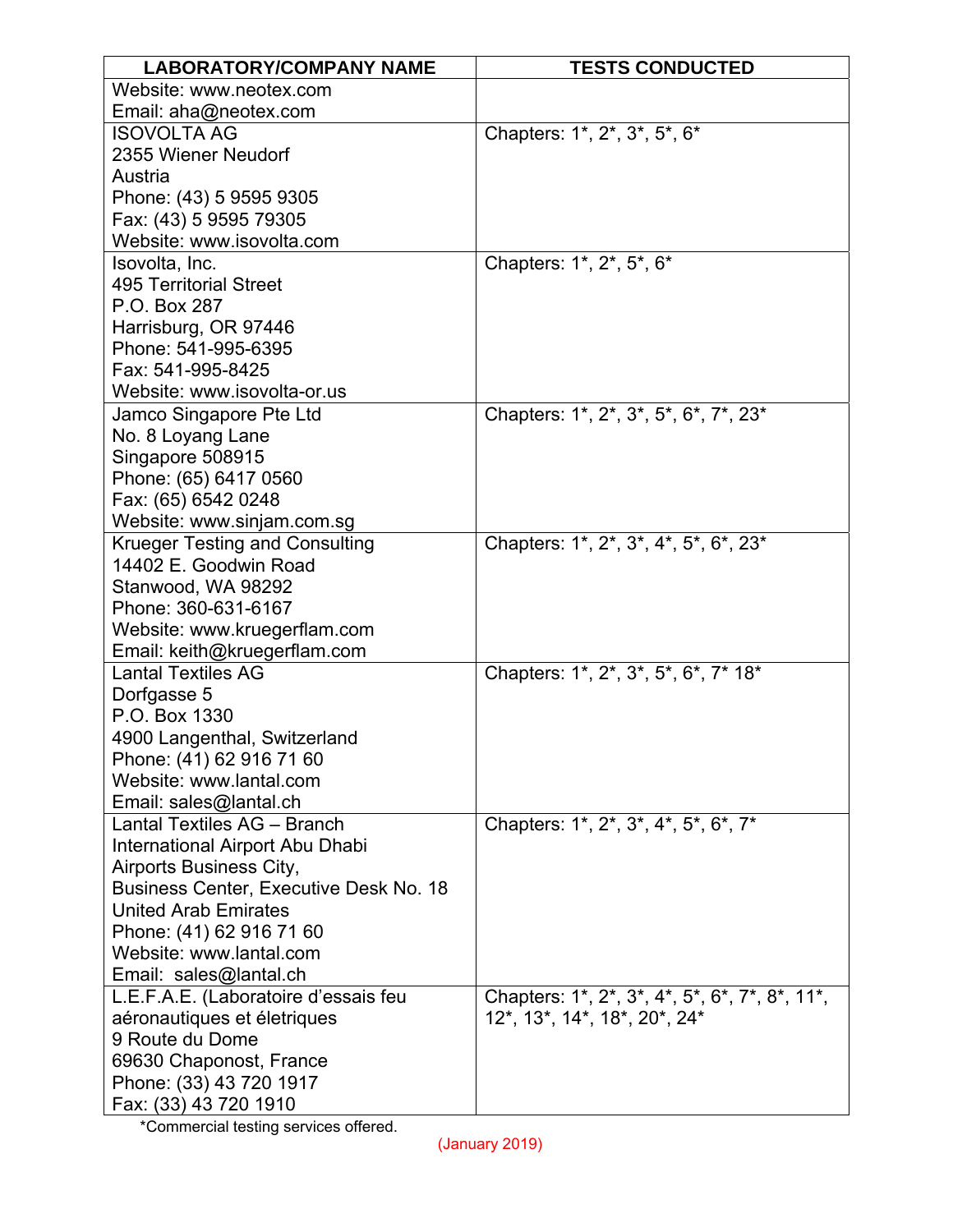| <b>LABORATORY/COMPANY NAME</b>                               | <b>TESTS CONDUCTED</b>                         |
|--------------------------------------------------------------|------------------------------------------------|
| Website: www.neotex.com                                      |                                                |
| Email: aha@neotex.com                                        |                                                |
| <b>ISOVOLTA AG</b>                                           | Chapters: 1*, 2*, 3*, 5*, 6*                   |
| 2355 Wiener Neudorf                                          |                                                |
| Austria                                                      |                                                |
| Phone: (43) 5 9595 9305                                      |                                                |
| Fax: (43) 5 9595 79305                                       |                                                |
| Website: www.isovolta.com                                    |                                                |
| Isovolta, Inc.                                               | Chapters: 1*, 2*, 5*, 6*                       |
| <b>495 Territorial Street</b>                                |                                                |
| P.O. Box 287                                                 |                                                |
| Harrisburg, OR 97446                                         |                                                |
| Phone: 541-995-6395                                          |                                                |
| Fax: 541-995-8425                                            |                                                |
| Website: www.isovolta-or.us                                  |                                                |
| Jamco Singapore Pte Ltd                                      | Chapters: 1*, 2*, 3*, 5*, 6*, 7*, 23*          |
| No. 8 Loyang Lane                                            |                                                |
| Singapore 508915                                             |                                                |
| Phone: (65) 6417 0560                                        |                                                |
| Fax: (65) 6542 0248                                          |                                                |
| Website: www.sinjam.com.sg                                   |                                                |
| <b>Krueger Testing and Consulting</b>                        | Chapters: 1*, 2*, 3*, 4*, 5*, 6*, 23*          |
| 14402 E. Goodwin Road                                        |                                                |
| Stanwood, WA 98292<br>Phone: 360-631-6167                    |                                                |
|                                                              |                                                |
| Website: www.kruegerflam.com<br>Email: keith@kruegerflam.com |                                                |
| <b>Lantal Textiles AG</b>                                    | Chapters: 1*, 2*, 3*, 5*, 6*, 7* 18*           |
| Dorfgasse 5                                                  |                                                |
| P.O. Box 1330                                                |                                                |
| 4900 Langenthal, Switzerland                                 |                                                |
| Phone: (41) 62 916 71 60                                     |                                                |
| Website: www.lantal.com                                      |                                                |
| Email: sales@lantal.ch                                       |                                                |
| Lantal Textiles AG - Branch                                  | Chapters: 1*, 2*, 3*, 4*, 5*, 6*, 7*           |
| International Airport Abu Dhabi                              |                                                |
| Airports Business City,                                      |                                                |
| <b>Business Center, Executive Desk No. 18</b>                |                                                |
| <b>United Arab Emirates</b>                                  |                                                |
| Phone: (41) 62 916 71 60                                     |                                                |
| Website: www.lantal.com                                      |                                                |
| Email: sales@lantal.ch                                       |                                                |
| L.E.F.A.E. (Laboratoire d'essais feu                         | Chapters: 1*, 2*, 3*, 4*, 5*, 6*, 7*, 8*, 11*, |
| aéronautiques et életriques                                  | 12*, 13*, 14*, 18*, 20*, 24*                   |
| 9 Route du Dome                                              |                                                |
| 69630 Chaponost, France                                      |                                                |
| Phone: (33) 43 720 1917                                      |                                                |
| Fax: (33) 43 720 1910                                        |                                                |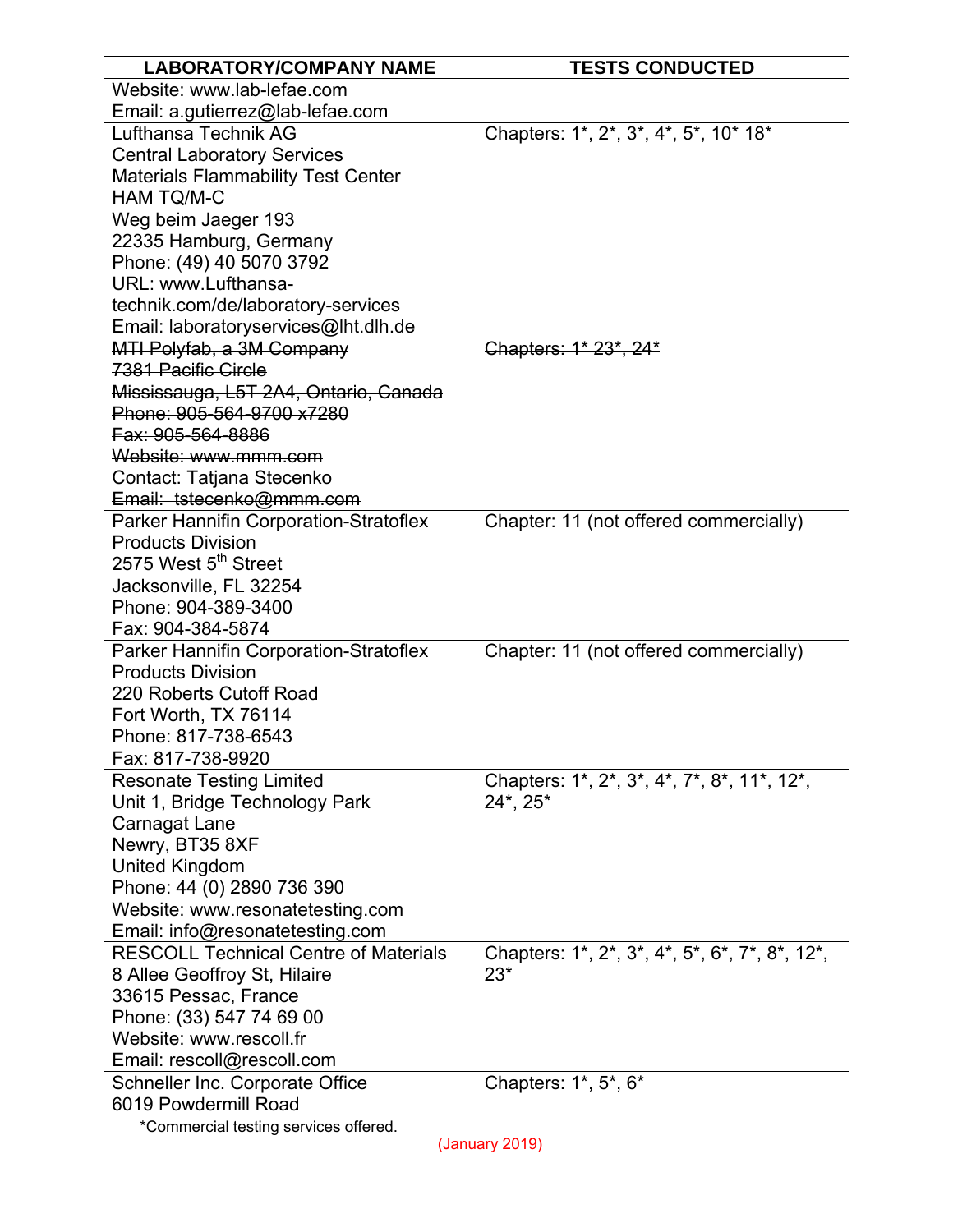| <b>LABORATORY/COMPANY NAME</b>                                     | <b>TESTS CONDUCTED</b>                         |
|--------------------------------------------------------------------|------------------------------------------------|
| Website: www.lab-lefae.com                                         |                                                |
| Email: a.gutierrez@lab-lefae.com                                   |                                                |
| Lufthansa Technik AG                                               | Chapters: 1*, 2*, 3*, 4*, 5*, 10* 18*          |
| <b>Central Laboratory Services</b>                                 |                                                |
| <b>Materials Flammability Test Center</b>                          |                                                |
| <b>HAM TQ/M-C</b>                                                  |                                                |
| Weg beim Jaeger 193                                                |                                                |
| 22335 Hamburg, Germany                                             |                                                |
| Phone: (49) 40 5070 3792                                           |                                                |
| URL: www.Lufthansa-                                                |                                                |
| technik.com/de/laboratory-services                                 |                                                |
| Email: laboratoryservices@lht.dlh.de                               |                                                |
| MTI Polyfab, a 3M Company                                          | Chapters: 1* 23*, 24*                          |
| 7381 Pacific Circle                                                |                                                |
| Mississauga, L5T 2A4, Ontario, Canada                              |                                                |
| Phone: 905-564-9700 x7280                                          |                                                |
| Fax: 905-564-8886                                                  |                                                |
| Website: www.mmm.com                                               |                                                |
| Contact: Tatjana Stecenko                                          |                                                |
| Email: tstecenko@mmm.com                                           |                                                |
| Parker Hannifin Corporation-Stratoflex<br><b>Products Division</b> | Chapter: 11 (not offered commercially)         |
| 2575 West 5 <sup>th</sup> Street                                   |                                                |
| Jacksonville, FL 32254                                             |                                                |
| Phone: 904-389-3400                                                |                                                |
| Fax: 904-384-5874                                                  |                                                |
| Parker Hannifin Corporation-Stratoflex                             | Chapter: 11 (not offered commercially)         |
| <b>Products Division</b>                                           |                                                |
| 220 Roberts Cutoff Road                                            |                                                |
| Fort Worth, TX 76114                                               |                                                |
| Phone: 817-738-6543                                                |                                                |
| Fax: 817-738-9920                                                  |                                                |
| <b>Resonate Testing Limited</b>                                    | Chapters: 1*, 2*, 3*, 4*, 7*, 8*, 11*, 12*,    |
| Unit 1, Bridge Technology Park                                     | 24*, 25*                                       |
| Carnagat Lane                                                      |                                                |
| Newry, BT35 8XF                                                    |                                                |
| <b>United Kingdom</b>                                              |                                                |
| Phone: 44 (0) 2890 736 390                                         |                                                |
| Website: www.resonatetesting.com                                   |                                                |
| Email: info@resonatetesting.com                                    |                                                |
| <b>RESCOLL Technical Centre of Materials</b>                       | Chapters: 1*, 2*, 3*, 4*, 5*, 6*, 7*, 8*, 12*, |
| 8 Allee Geoffroy St, Hilaire                                       | $23*$                                          |
| 33615 Pessac, France                                               |                                                |
| Phone: (33) 547 74 69 00                                           |                                                |
| Website: www.rescoll.fr                                            |                                                |
| Email: rescoll@rescoll.com                                         |                                                |
| Schneller Inc. Corporate Office                                    | Chapters: 1*, 5*, 6*                           |
| 6019 Powdermill Road                                               |                                                |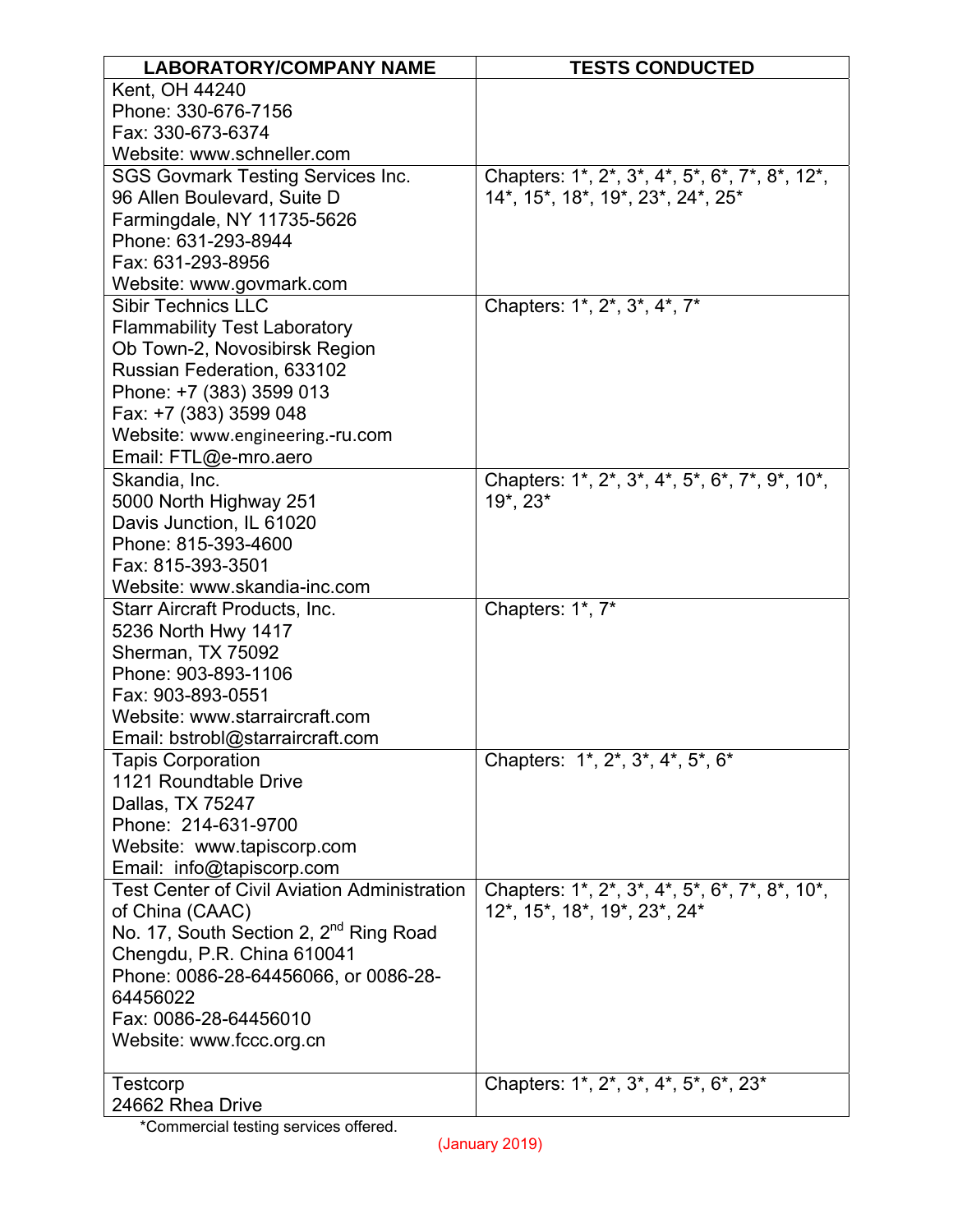| <b>LABORATORY/COMPANY NAME</b>                      | <b>TESTS CONDUCTED</b>                                                                                                          |
|-----------------------------------------------------|---------------------------------------------------------------------------------------------------------------------------------|
| Kent, OH 44240                                      |                                                                                                                                 |
| Phone: 330-676-7156                                 |                                                                                                                                 |
| Fax: 330-673-6374                                   |                                                                                                                                 |
| Website: www.schneller.com                          |                                                                                                                                 |
| <b>SGS Govmark Testing Services Inc.</b>            | Chapters: 1*, 2*, 3*, 4*, 5*, 6*, 7*, 8*, 12*,                                                                                  |
| 96 Allen Boulevard, Suite D                         | 14*, 15*, 18*, 19*, 23*, 24*, 25*                                                                                               |
| Farmingdale, NY 11735-5626                          |                                                                                                                                 |
| Phone: 631-293-8944                                 |                                                                                                                                 |
| Fax: 631-293-8956                                   |                                                                                                                                 |
| Website: www.govmark.com                            |                                                                                                                                 |
| <b>Sibir Technics LLC</b>                           | Chapters: 1*, 2*, 3*, 4*, 7*                                                                                                    |
| <b>Flammability Test Laboratory</b>                 |                                                                                                                                 |
| Ob Town-2, Novosibirsk Region                       |                                                                                                                                 |
| Russian Federation, 633102                          |                                                                                                                                 |
| Phone: +7 (383) 3599 013                            |                                                                                                                                 |
| Fax: +7 (383) 3599 048                              |                                                                                                                                 |
| Website: www.engineering.-ru.com                    |                                                                                                                                 |
| Email: FTL@e-mro.aero                               |                                                                                                                                 |
| Skandia, Inc.                                       | Chapters: 1*, 2*, 3*, 4*, 5*, 6*, 7*, 9*, 10*,                                                                                  |
| 5000 North Highway 251                              | 19*, 23*                                                                                                                        |
| Davis Junction, IL 61020                            |                                                                                                                                 |
| Phone: 815-393-4600                                 |                                                                                                                                 |
| Fax: 815-393-3501                                   |                                                                                                                                 |
| Website: www.skandia-inc.com                        |                                                                                                                                 |
| Starr Aircraft Products, Inc.                       | Chapters: 1*, 7*                                                                                                                |
| 5236 North Hwy 1417                                 |                                                                                                                                 |
| Sherman, TX 75092                                   |                                                                                                                                 |
| Phone: 903-893-1106                                 |                                                                                                                                 |
| Fax: 903-893-0551                                   |                                                                                                                                 |
| Website: www.starraircraft.com                      |                                                                                                                                 |
| Email: bstrobl@starraircraft.com                    |                                                                                                                                 |
| <b>Tapis Corporation</b>                            | Chapters: 1*, 2*, 3*, 4*, 5*, 6*                                                                                                |
| 1121 Roundtable Drive                               |                                                                                                                                 |
| Dallas, TX 75247                                    |                                                                                                                                 |
| Phone: 214-631-9700                                 |                                                                                                                                 |
| Website: www.tapiscorp.com                          |                                                                                                                                 |
| Email: info@tapiscorp.com                           |                                                                                                                                 |
| <b>Test Center of Civil Aviation Administration</b> | Chapters: 1*, 2*, 3*, 4*, 5*, 6*, 7*, 8*, 10*,                                                                                  |
| of China (CAAC)                                     | 12*, 15*, 18*, 19*, 23*, 24*                                                                                                    |
| No. 17, South Section 2, 2 <sup>nd</sup> Ring Road  |                                                                                                                                 |
| Chengdu, P.R. China 610041                          |                                                                                                                                 |
| Phone: 0086-28-64456066, or 0086-28-                |                                                                                                                                 |
| 64456022                                            |                                                                                                                                 |
| Fax: 0086-28-64456010                               |                                                                                                                                 |
| Website: www.fccc.org.cn                            |                                                                                                                                 |
| Testcorp                                            | Chapters: 1 <sup>*</sup> , 2 <sup>*</sup> , 3 <sup>*</sup> , 4 <sup>*</sup> , 5 <sup>*</sup> , 6 <sup>*</sup> , 23 <sup>*</sup> |
| 24662 Rhea Drive                                    |                                                                                                                                 |
| *Commercial tecting censices offered                |                                                                                                                                 |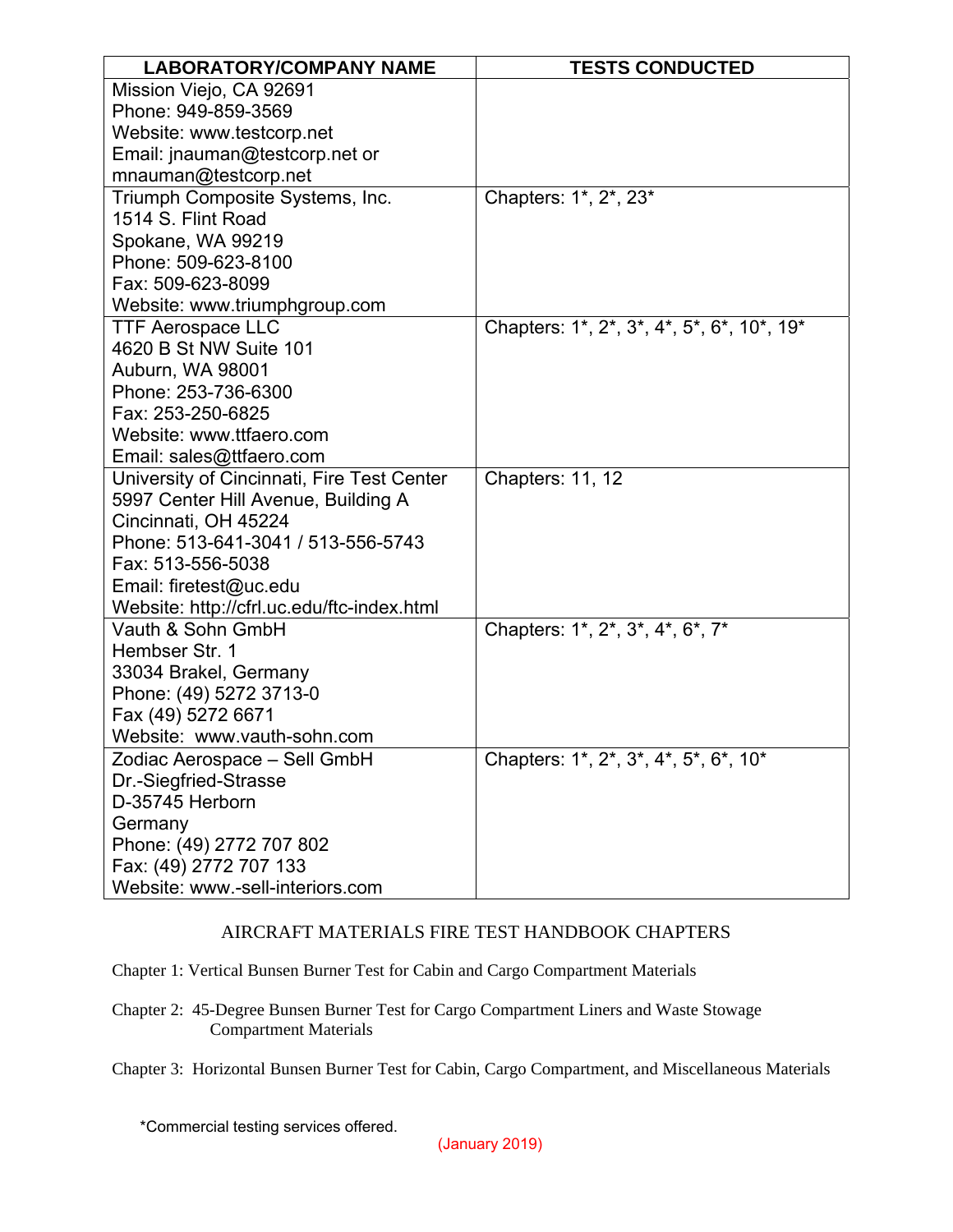| <b>LABORATORY/COMPANY NAME</b>                                                                                                                                                                                                                                                                                                                                                                                                                                                                                                                                                                                                                                                                                                                                                                                    | <b>TESTS CONDUCTED</b>                                                                                                                      |
|-------------------------------------------------------------------------------------------------------------------------------------------------------------------------------------------------------------------------------------------------------------------------------------------------------------------------------------------------------------------------------------------------------------------------------------------------------------------------------------------------------------------------------------------------------------------------------------------------------------------------------------------------------------------------------------------------------------------------------------------------------------------------------------------------------------------|---------------------------------------------------------------------------------------------------------------------------------------------|
| Mission Viejo, CA 92691                                                                                                                                                                                                                                                                                                                                                                                                                                                                                                                                                                                                                                                                                                                                                                                           |                                                                                                                                             |
| Phone: 949-859-3569                                                                                                                                                                                                                                                                                                                                                                                                                                                                                                                                                                                                                                                                                                                                                                                               |                                                                                                                                             |
| Website: www.testcorp.net                                                                                                                                                                                                                                                                                                                                                                                                                                                                                                                                                                                                                                                                                                                                                                                         |                                                                                                                                             |
| Email: jnauman@testcorp.net or                                                                                                                                                                                                                                                                                                                                                                                                                                                                                                                                                                                                                                                                                                                                                                                    |                                                                                                                                             |
| mnauman@testcorp.net                                                                                                                                                                                                                                                                                                                                                                                                                                                                                                                                                                                                                                                                                                                                                                                              |                                                                                                                                             |
| Triumph Composite Systems, Inc.                                                                                                                                                                                                                                                                                                                                                                                                                                                                                                                                                                                                                                                                                                                                                                                   | Chapters: 1*, 2*, 23*                                                                                                                       |
| 1514 S. Flint Road                                                                                                                                                                                                                                                                                                                                                                                                                                                                                                                                                                                                                                                                                                                                                                                                |                                                                                                                                             |
| Spokane, WA 99219                                                                                                                                                                                                                                                                                                                                                                                                                                                                                                                                                                                                                                                                                                                                                                                                 |                                                                                                                                             |
| Phone: 509-623-8100                                                                                                                                                                                                                                                                                                                                                                                                                                                                                                                                                                                                                                                                                                                                                                                               |                                                                                                                                             |
|                                                                                                                                                                                                                                                                                                                                                                                                                                                                                                                                                                                                                                                                                                                                                                                                                   |                                                                                                                                             |
|                                                                                                                                                                                                                                                                                                                                                                                                                                                                                                                                                                                                                                                                                                                                                                                                                   |                                                                                                                                             |
|                                                                                                                                                                                                                                                                                                                                                                                                                                                                                                                                                                                                                                                                                                                                                                                                                   |                                                                                                                                             |
|                                                                                                                                                                                                                                                                                                                                                                                                                                                                                                                                                                                                                                                                                                                                                                                                                   |                                                                                                                                             |
|                                                                                                                                                                                                                                                                                                                                                                                                                                                                                                                                                                                                                                                                                                                                                                                                                   |                                                                                                                                             |
|                                                                                                                                                                                                                                                                                                                                                                                                                                                                                                                                                                                                                                                                                                                                                                                                                   |                                                                                                                                             |
|                                                                                                                                                                                                                                                                                                                                                                                                                                                                                                                                                                                                                                                                                                                                                                                                                   |                                                                                                                                             |
|                                                                                                                                                                                                                                                                                                                                                                                                                                                                                                                                                                                                                                                                                                                                                                                                                   |                                                                                                                                             |
|                                                                                                                                                                                                                                                                                                                                                                                                                                                                                                                                                                                                                                                                                                                                                                                                                   |                                                                                                                                             |
|                                                                                                                                                                                                                                                                                                                                                                                                                                                                                                                                                                                                                                                                                                                                                                                                                   |                                                                                                                                             |
|                                                                                                                                                                                                                                                                                                                                                                                                                                                                                                                                                                                                                                                                                                                                                                                                                   |                                                                                                                                             |
|                                                                                                                                                                                                                                                                                                                                                                                                                                                                                                                                                                                                                                                                                                                                                                                                                   |                                                                                                                                             |
|                                                                                                                                                                                                                                                                                                                                                                                                                                                                                                                                                                                                                                                                                                                                                                                                                   |                                                                                                                                             |
|                                                                                                                                                                                                                                                                                                                                                                                                                                                                                                                                                                                                                                                                                                                                                                                                                   |                                                                                                                                             |
|                                                                                                                                                                                                                                                                                                                                                                                                                                                                                                                                                                                                                                                                                                                                                                                                                   |                                                                                                                                             |
|                                                                                                                                                                                                                                                                                                                                                                                                                                                                                                                                                                                                                                                                                                                                                                                                                   |                                                                                                                                             |
|                                                                                                                                                                                                                                                                                                                                                                                                                                                                                                                                                                                                                                                                                                                                                                                                                   |                                                                                                                                             |
|                                                                                                                                                                                                                                                                                                                                                                                                                                                                                                                                                                                                                                                                                                                                                                                                                   |                                                                                                                                             |
|                                                                                                                                                                                                                                                                                                                                                                                                                                                                                                                                                                                                                                                                                                                                                                                                                   |                                                                                                                                             |
|                                                                                                                                                                                                                                                                                                                                                                                                                                                                                                                                                                                                                                                                                                                                                                                                                   |                                                                                                                                             |
|                                                                                                                                                                                                                                                                                                                                                                                                                                                                                                                                                                                                                                                                                                                                                                                                                   |                                                                                                                                             |
|                                                                                                                                                                                                                                                                                                                                                                                                                                                                                                                                                                                                                                                                                                                                                                                                                   |                                                                                                                                             |
|                                                                                                                                                                                                                                                                                                                                                                                                                                                                                                                                                                                                                                                                                                                                                                                                                   |                                                                                                                                             |
|                                                                                                                                                                                                                                                                                                                                                                                                                                                                                                                                                                                                                                                                                                                                                                                                                   |                                                                                                                                             |
|                                                                                                                                                                                                                                                                                                                                                                                                                                                                                                                                                                                                                                                                                                                                                                                                                   |                                                                                                                                             |
|                                                                                                                                                                                                                                                                                                                                                                                                                                                                                                                                                                                                                                                                                                                                                                                                                   |                                                                                                                                             |
|                                                                                                                                                                                                                                                                                                                                                                                                                                                                                                                                                                                                                                                                                                                                                                                                                   |                                                                                                                                             |
|                                                                                                                                                                                                                                                                                                                                                                                                                                                                                                                                                                                                                                                                                                                                                                                                                   |                                                                                                                                             |
| Fax: 509-623-8099<br>Website: www.triumphgroup.com<br><b>TTF Aerospace LLC</b><br>4620 B St NW Suite 101<br>Auburn, WA 98001<br>Phone: 253-736-6300<br>Fax: 253-250-6825<br>Website: www.ttfaero.com<br>Email: sales@ttfaero.com<br>University of Cincinnati, Fire Test Center<br>5997 Center Hill Avenue, Building A<br>Cincinnati, OH 45224<br>Phone: 513-641-3041 / 513-556-5743<br>Fax: 513-556-5038<br>Email: firetest@uc.edu<br>Website: http://cfrl.uc.edu/ftc-index.html<br>Vauth & Sohn GmbH<br>Hembser Str. 1<br>33034 Brakel, Germany<br>Phone: (49) 5272 3713-0<br>Fax (49) 5272 6671<br>Website: www.vauth-sohn.com<br>Zodiac Aerospace - Sell GmbH<br>Dr.-Siegfried-Strasse<br>D-35745 Herborn<br>Germany<br>Phone: (49) 2772 707 802<br>Fax: (49) 2772 707 133<br>Website: www.-sell-interiors.com | Chapters: 1*, 2*, 3*, 4*, 5*, 6*, 10*, 19*<br>Chapters: 11, 12<br>Chapters: 1*, 2*, 3*, 4*, 6*, 7*<br>Chapters: 1*, 2*, 3*, 4*, 5*, 6*, 10* |

## AIRCRAFT MATERIALS FIRE TEST HANDBOOK CHAPTERS

Chapter 1: Vertical Bunsen Burner Test for Cabin and Cargo Compartment Materials

Chapter 2: 45-Degree Bunsen Burner Test for Cargo Compartment Liners and Waste Stowage Compartment Materials

Chapter 3: Horizontal Bunsen Burner Test for Cabin, Cargo Compartment, and Miscellaneous Materials